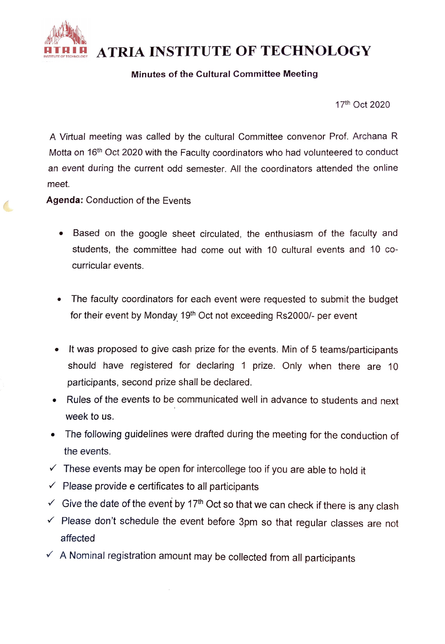

ATRIA INSTITUTE OF TECHNOLOGY

## Minutes of the Cultural Committee Meeting

17th Oct 2020

A Virtual meeting was called by the cultural Committee convenor Prof. Archana R Motta on 16<sup>th</sup> Oct 2020 with the Faculty coordinators who had volunteered to conduct an event during the current odd semester. All the coordinators attended the online meet.

Agenda: Conduction of the Events

- Based on the google sheet circulated, the enthusiasm of the faculty and students, the committee had come out with 10 cultural events and 10 cocurricular events.
- The faculty coordinators for each event were requested to submit the budget for their event by Monday 19<sup>th</sup> Oct not exceeding Rs2000/- per event
- .It was proposed to give cash prize for the events. Min of 5 teams/participants should have registered for declaring 1 prize. Only when there are 10 participants, second prize shall be declared.
- Rules of the events to be communicated well in advance to students and next week to us.
- The following guidelines were drafted during the meeting for the conduction of the events.
- $\checkmark$  These events may be open for intercollege too if you are able to hold it
- $\checkmark$  Please provide e certificates to all participants
- Give the date of the event by 17<sup>th</sup> Oct so that we can check if there is any clash
- $\checkmark$  Please don't schedule the event before 3pm so that regular classes are not affected
- $\checkmark$  A Nominal registration amount may be collected from all participants